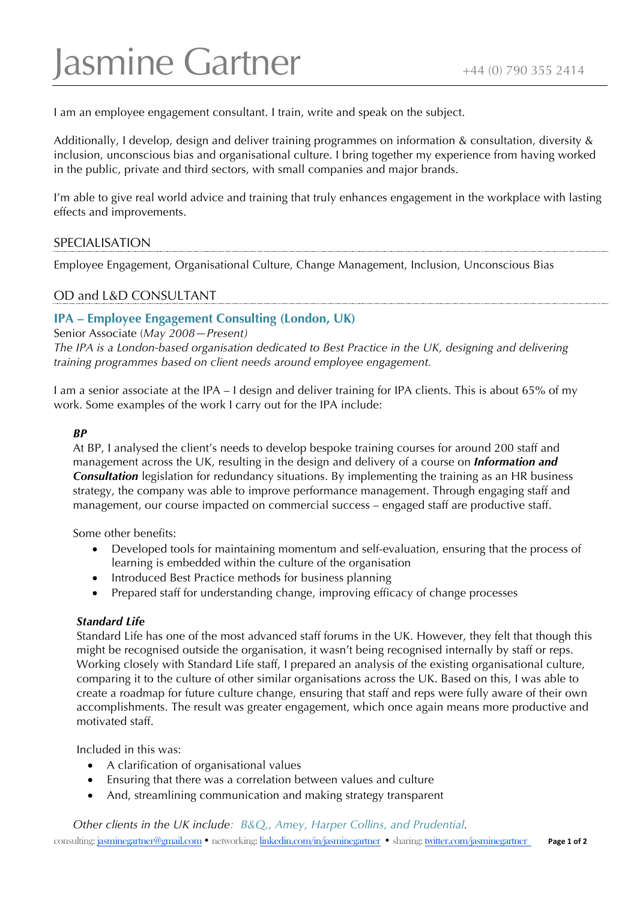# Jasmine Gartner  $\frac{1}{444(0)}$  790 355 2414

I am an employee engagement consultant. I train, write and speak on the subject.

Additionally, I develop, design and deliver training programmes on information & consultation, diversity & inclusion, unconscious bias and organisational culture. I bring together my experience from having worked in the public, private and third sectors, with small companies and major brands.

I'm able to give real world advice and training that truly enhances engagement in the workplace with lasting effects and improvements.

# SPECIALISATION

Employee Engagement, Organisational Culture, Change Management, Inclusion, Unconscious Bias

# OD and L&D CONSULTANT

# **IPA – Employee Engagement Consulting (London, UK)**

Senior Associate (*May 2008—Present)*

*The IPA is a London-based organisation dedicated to Best Practice in the UK, designing and delivering training programmes based on client needs around employee engagement.* 

I am a senior associate at the IPA – I design and deliver training for IPA clients. This is about 65% of my work. Some examples of the work I carry out for the IPA include:

#### *BP*

At BP, I analysed the client's needs to develop bespoke training courses for around 200 staff and management across the UK, resulting in the design and delivery of a course on *Information and Consultation* legislation for redundancy situations. By implementing the training as an HR business strategy, the company was able to improve performance management. Through engaging staff and management, our course impacted on commercial success – engaged staff are productive staff.

Some other benefits:

- Developed tools for maintaining momentum and self-evaluation, ensuring that the process of learning is embedded within the culture of the organisation
- Introduced Best Practice methods for business planning
- Prepared staff for understanding change, improving efficacy of change processes

## *Standard Life*

Standard Life has one of the most advanced staff forums in the UK. However, they felt that though this might be recognised outside the organisation, it wasn't being recognised internally by staff or reps. Working closely with Standard Life staff, I prepared an analysis of the existing organisational culture, comparing it to the culture of other similar organisations across the UK. Based on this, I was able to create a roadmap for future culture change, ensuring that staff and reps were fully aware of their own accomplishments. The result was greater engagement, which once again means more productive and motivated staff.

Included in this was:

- A clarification of organisational values
- Ensuring that there was a correlation between values and culture
- And, streamlining communication and making strategy transparent

consulting: jasminegartner@gmail.com • networking: linkedin.com/in/jasminegartner • sharing: twitter.com/jasminegartner **Page 1 of 2** *Other clients in the UK include: B&Q,, Amey, Harper Collins, and Prudential.*